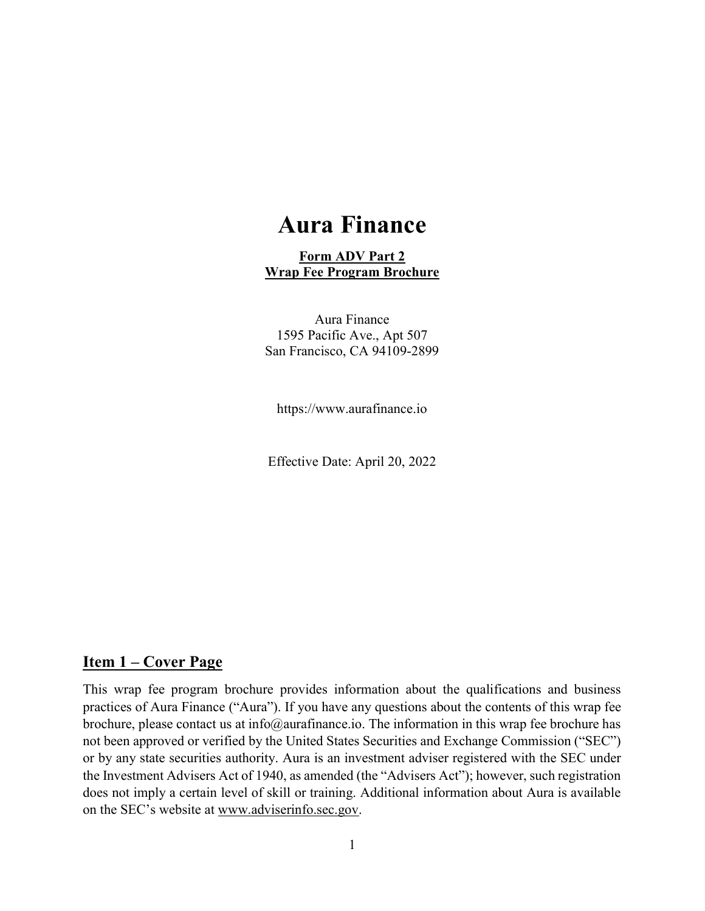# Aura Finance

#### Form ADV Part 2 Wrap Fee Program Brochure

Aura Finance 1595 Pacific Ave., Apt 507 San Francisco, CA 94109-2899

https://www.aurafinance.io

Effective Date: April 20, 2022

#### Item 1 – Cover Page

This wrap fee program brochure provides information about the qualifications and business practices of Aura Finance ("Aura"). If you have any questions about the contents of this wrap fee brochure, please contact us at info@aurafinance.io. The information in this wrap fee brochure has not been approved or verified by the United States Securities and Exchange Commission ("SEC") or by any state securities authority. Aura is an investment adviser registered with the SEC under the Investment Advisers Act of 1940, as amended (the "Advisers Act"); however, such registration does not imply a certain level of skill or training. Additional information about Aura is available on the SEC's website at www.adviserinfo.sec.gov.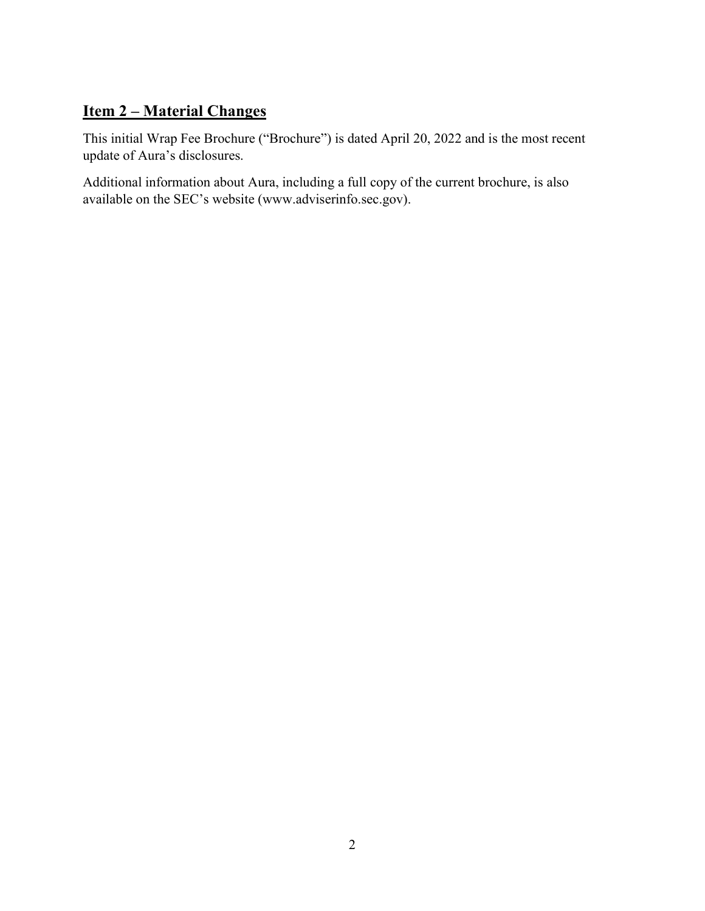### Item 2 – Material Changes

This initial Wrap Fee Brochure ("Brochure") is dated April 20, 2022 and is the most recent update of Aura's disclosures.

Additional information about Aura, including a full copy of the current brochure, is also available on the SEC's website (www.adviserinfo.sec.gov).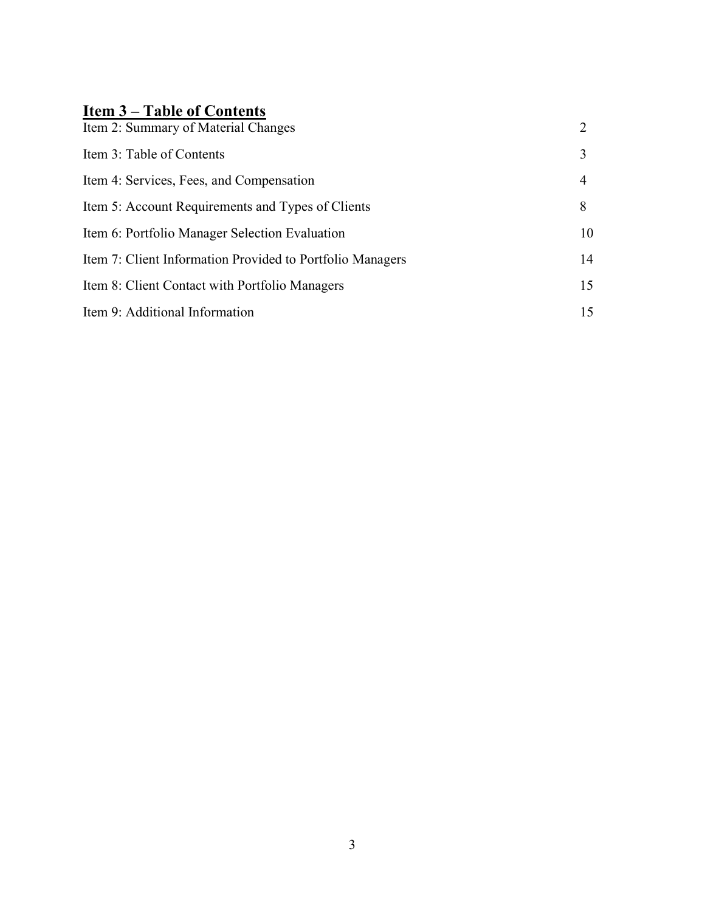## Item 3 – Table of Contents

| Item 2: Summary of Material Changes                       | $\overline{2}$ |
|-----------------------------------------------------------|----------------|
| Item 3: Table of Contents                                 | 3              |
| Item 4: Services, Fees, and Compensation                  | 4              |
| Item 5: Account Requirements and Types of Clients         | 8              |
| Item 6: Portfolio Manager Selection Evaluation            | 10             |
| Item 7: Client Information Provided to Portfolio Managers | 14             |
| Item 8: Client Contact with Portfolio Managers            | 15             |
| Item 9: Additional Information                            | 15             |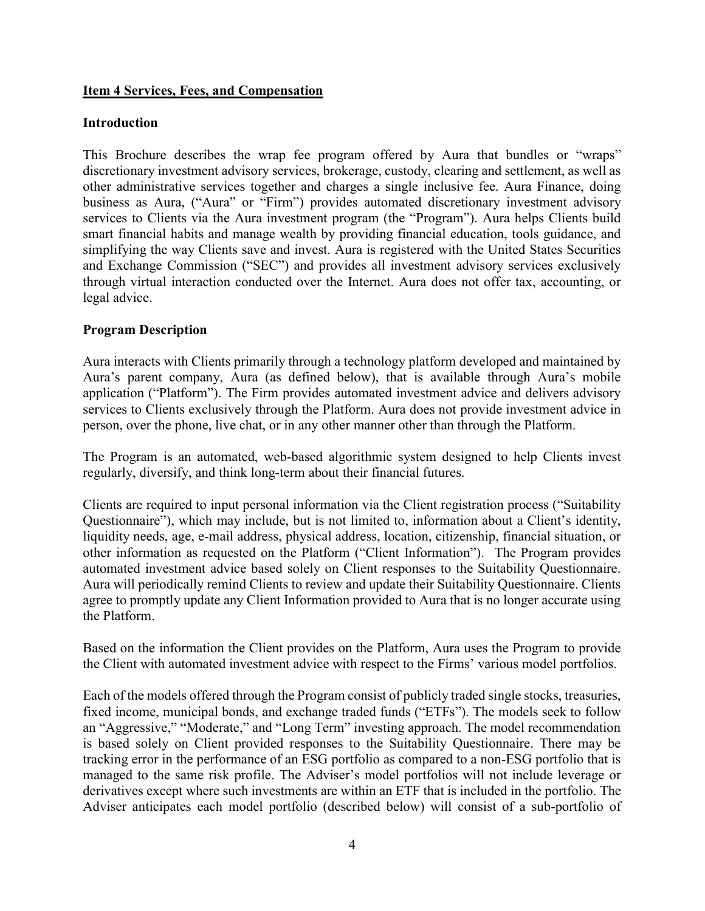#### Item 4 Services, Fees, and Compensation

#### Introduction

This Brochure describes the wrap fee program offered by Aura that bundles or "wraps" discretionary investment advisory services, brokerage, custody, clearing and settlement, as well as other administrative services together and charges a single inclusive fee. Aura Finance, doing business as Aura, ("Aura" or "Firm") provides automated discretionary investment advisory services to Clients via the Aura investment program (the "Program"). Aura helps Clients build smart financial habits and manage wealth by providing financial education, tools guidance, and simplifying the way Clients save and invest. Aura is registered with the United States Securities and Exchange Commission ("SEC") and provides all investment advisory services exclusively through virtual interaction conducted over the Internet. Aura does not offer tax, accounting, or legal advice.

#### Program Description

Aura interacts with Clients primarily through a technology platform developed and maintained by Aura's parent company, Aura (as defined below), that is available through Aura's mobile application ("Platform"). The Firm provides automated investment advice and delivers advisory services to Clients exclusively through the Platform. Aura does not provide investment advice in person, over the phone, live chat, or in any other manner other than through the Platform.

The Program is an automated, web-based algorithmic system designed to help Clients invest regularly, diversify, and think long-term about their financial futures.

Clients are required to input personal information via the Client registration process ("Suitability Questionnaire"), which may include, but is not limited to, information about a Client's identity, liquidity needs, age, e-mail address, physical address, location, citizenship, financial situation, or other information as requested on the Platform ("Client Information"). The Program provides automated investment advice based solely on Client responses to the Suitability Questionnaire. Aura will periodically remind Clients to review and update their Suitability Questionnaire. Clients agree to promptly update any Client Information provided to Aura that is no longer accurate using the Platform.

Based on the information the Client provides on the Platform, Aura uses the Program to provide the Client with automated investment advice with respect to the Firms' various model portfolios.

Each of the models offered through the Program consist of publicly traded single stocks, treasuries, fixed income, municipal bonds, and exchange traded funds ("ETFs"). The models seek to follow an "Aggressive," "Moderate," and "Long Term" investing approach. The model recommendation is based solely on Client provided responses to the Suitability Questionnaire. There may be tracking error in the performance of an ESG portfolio as compared to a non-ESG portfolio that is managed to the same risk profile. The Adviser's model portfolios will not include leverage or derivatives except where such investments are within an ETF that is included in the portfolio. The Adviser anticipates each model portfolio (described below) will consist of a sub-portfolio of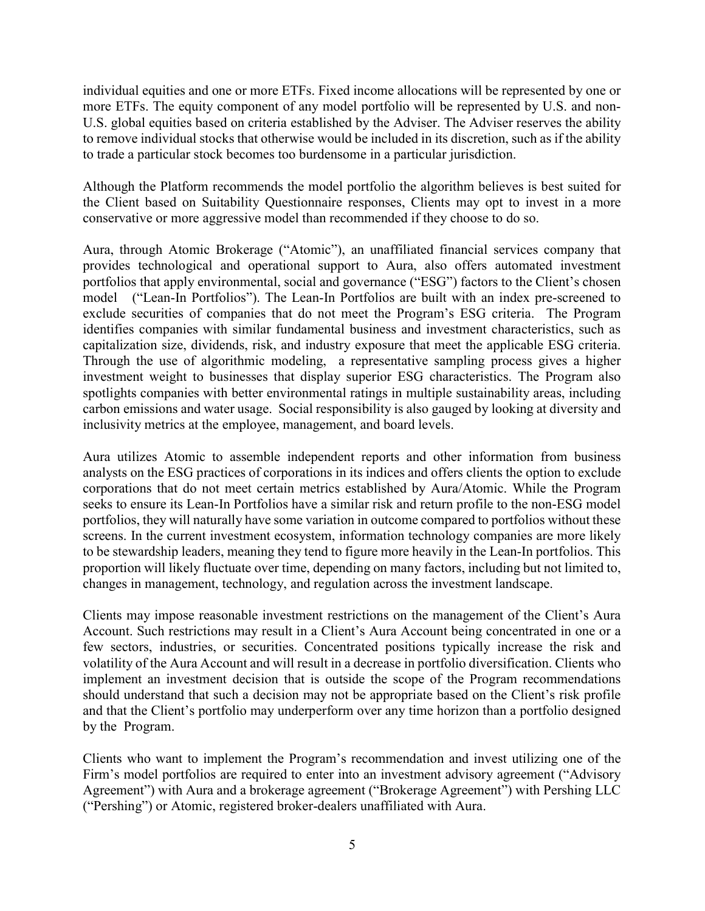individual equities and one or more ETFs. Fixed income allocations will be represented by one or more ETFs. The equity component of any model portfolio will be represented by U.S. and non-U.S. global equities based on criteria established by the Adviser. The Adviser reserves the ability to remove individual stocks that otherwise would be included in its discretion, such as if the ability to trade a particular stock becomes too burdensome in a particular jurisdiction.

Although the Platform recommends the model portfolio the algorithm believes is best suited for the Client based on Suitability Questionnaire responses, Clients may opt to invest in a more conservative or more aggressive model than recommended if they choose to do so.

Aura, through Atomic Brokerage ("Atomic"), an unaffiliated financial services company that provides technological and operational support to Aura, also offers automated investment portfolios that apply environmental, social and governance ("ESG") factors to the Client's chosen model ("Lean-In Portfolios"). The Lean-In Portfolios are built with an index pre-screened to exclude securities of companies that do not meet the Program's ESG criteria. The Program identifies companies with similar fundamental business and investment characteristics, such as capitalization size, dividends, risk, and industry exposure that meet the applicable ESG criteria. Through the use of algorithmic modeling, a representative sampling process gives a higher investment weight to businesses that display superior ESG characteristics. The Program also spotlights companies with better environmental ratings in multiple sustainability areas, including carbon emissions and water usage. Social responsibility is also gauged by looking at diversity and inclusivity metrics at the employee, management, and board levels.

Aura utilizes Atomic to assemble independent reports and other information from business analysts on the ESG practices of corporations in its indices and offers clients the option to exclude corporations that do not meet certain metrics established by Aura/Atomic. While the Program seeks to ensure its Lean-In Portfolios have a similar risk and return profile to the non-ESG model portfolios, they will naturally have some variation in outcome compared to portfolios without these screens. In the current investment ecosystem, information technology companies are more likely to be stewardship leaders, meaning they tend to figure more heavily in the Lean-In portfolios. This proportion will likely fluctuate over time, depending on many factors, including but not limited to, changes in management, technology, and regulation across the investment landscape.

Clients may impose reasonable investment restrictions on the management of the Client's Aura Account. Such restrictions may result in a Client's Aura Account being concentrated in one or a few sectors, industries, or securities. Concentrated positions typically increase the risk and volatility of the Aura Account and will result in a decrease in portfolio diversification. Clients who implement an investment decision that is outside the scope of the Program recommendations should understand that such a decision may not be appropriate based on the Client's risk profile and that the Client's portfolio may underperform over any time horizon than a portfolio designed by the Program.

Clients who want to implement the Program's recommendation and invest utilizing one of the Firm's model portfolios are required to enter into an investment advisory agreement ("Advisory Agreement") with Aura and a brokerage agreement ("Brokerage Agreement") with Pershing LLC ("Pershing") or Atomic, registered broker-dealers unaffiliated with Aura.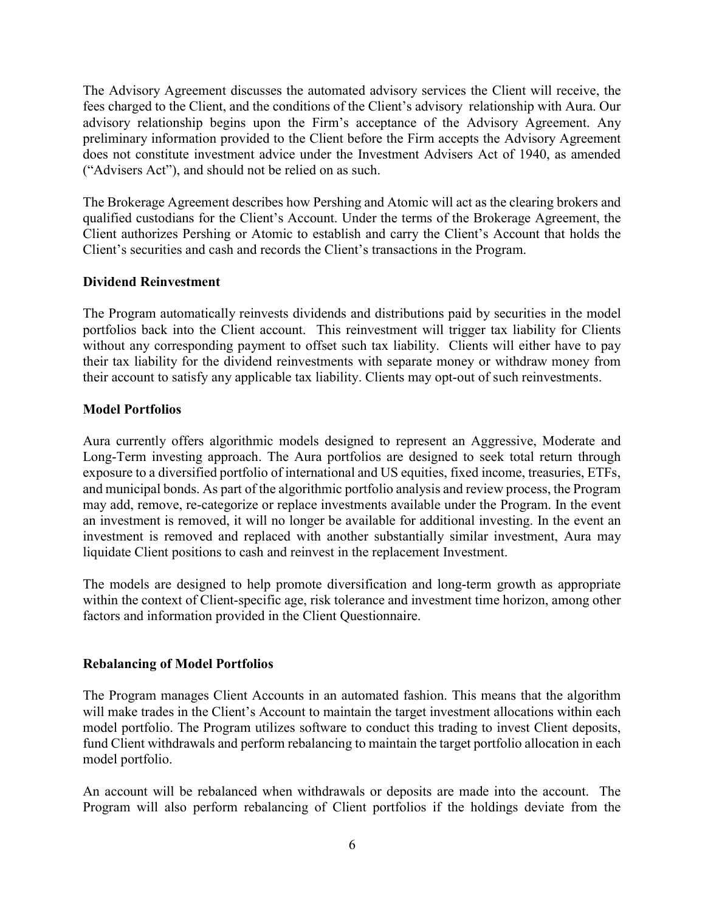The Advisory Agreement discusses the automated advisory services the Client will receive, the fees charged to the Client, and the conditions of the Client's advisory relationship with Aura. Our advisory relationship begins upon the Firm's acceptance of the Advisory Agreement. Any preliminary information provided to the Client before the Firm accepts the Advisory Agreement does not constitute investment advice under the Investment Advisers Act of 1940, as amended ("Advisers Act"), and should not be relied on as such.

The Brokerage Agreement describes how Pershing and Atomic will act as the clearing brokers and qualified custodians for the Client's Account. Under the terms of the Brokerage Agreement, the Client authorizes Pershing or Atomic to establish and carry the Client's Account that holds the Client's securities and cash and records the Client's transactions in the Program.

#### Dividend Reinvestment

The Program automatically reinvests dividends and distributions paid by securities in the model portfolios back into the Client account. This reinvestment will trigger tax liability for Clients without any corresponding payment to offset such tax liability. Clients will either have to pay their tax liability for the dividend reinvestments with separate money or withdraw money from their account to satisfy any applicable tax liability. Clients may opt-out of such reinvestments.

#### Model Portfolios

Aura currently offers algorithmic models designed to represent an Aggressive, Moderate and Long-Term investing approach. The Aura portfolios are designed to seek total return through exposure to a diversified portfolio of international and US equities, fixed income, treasuries, ETFs, and municipal bonds. As part of the algorithmic portfolio analysis and review process, the Program may add, remove, re-categorize or replace investments available under the Program. In the event an investment is removed, it will no longer be available for additional investing. In the event an investment is removed and replaced with another substantially similar investment, Aura may liquidate Client positions to cash and reinvest in the replacement Investment.

The models are designed to help promote diversification and long-term growth as appropriate within the context of Client-specific age, risk tolerance and investment time horizon, among other factors and information provided in the Client Questionnaire.

#### Rebalancing of Model Portfolios

The Program manages Client Accounts in an automated fashion. This means that the algorithm will make trades in the Client's Account to maintain the target investment allocations within each model portfolio. The Program utilizes software to conduct this trading to invest Client deposits, fund Client withdrawals and perform rebalancing to maintain the target portfolio allocation in each model portfolio.

An account will be rebalanced when withdrawals or deposits are made into the account. The Program will also perform rebalancing of Client portfolios if the holdings deviate from the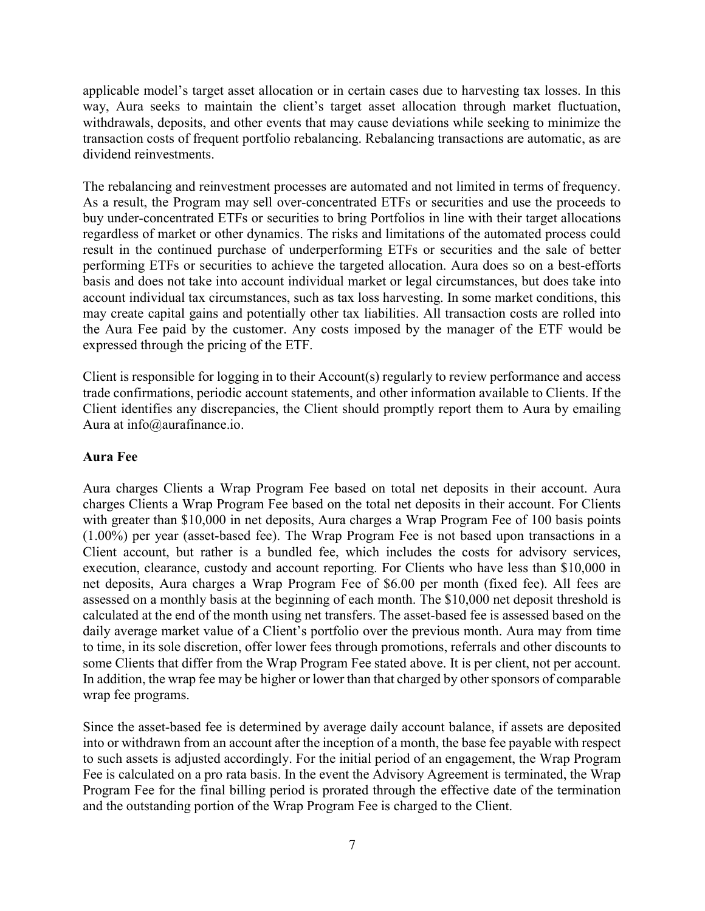applicable model's target asset allocation or in certain cases due to harvesting tax losses. In this way, Aura seeks to maintain the client's target asset allocation through market fluctuation, withdrawals, deposits, and other events that may cause deviations while seeking to minimize the transaction costs of frequent portfolio rebalancing. Rebalancing transactions are automatic, as are dividend reinvestments.

The rebalancing and reinvestment processes are automated and not limited in terms of frequency. As a result, the Program may sell over-concentrated ETFs or securities and use the proceeds to buy under-concentrated ETFs or securities to bring Portfolios in line with their target allocations regardless of market or other dynamics. The risks and limitations of the automated process could result in the continued purchase of underperforming ETFs or securities and the sale of better performing ETFs or securities to achieve the targeted allocation. Aura does so on a best-efforts basis and does not take into account individual market or legal circumstances, but does take into account individual tax circumstances, such as tax loss harvesting. In some market conditions, this may create capital gains and potentially other tax liabilities. All transaction costs are rolled into the Aura Fee paid by the customer. Any costs imposed by the manager of the ETF would be expressed through the pricing of the ETF.

Client is responsible for logging in to their Account(s) regularly to review performance and access trade confirmations, periodic account statements, and other information available to Clients. If the Client identifies any discrepancies, the Client should promptly report them to Aura by emailing Aura at info@aurafinance.io.

#### Aura Fee

Aura charges Clients a Wrap Program Fee based on total net deposits in their account. Aura charges Clients a Wrap Program Fee based on the total net deposits in their account. For Clients with greater than \$10,000 in net deposits, Aura charges a Wrap Program Fee of 100 basis points (1.00%) per year (asset-based fee). The Wrap Program Fee is not based upon transactions in a Client account, but rather is a bundled fee, which includes the costs for advisory services, execution, clearance, custody and account reporting. For Clients who have less than \$10,000 in net deposits, Aura charges a Wrap Program Fee of \$6.00 per month (fixed fee). All fees are assessed on a monthly basis at the beginning of each month. The \$10,000 net deposit threshold is calculated at the end of the month using net transfers. The asset-based fee is assessed based on the daily average market value of a Client's portfolio over the previous month. Aura may from time to time, in its sole discretion, offer lower fees through promotions, referrals and other discounts to some Clients that differ from the Wrap Program Fee stated above. It is per client, not per account. In addition, the wrap fee may be higher or lower than that charged by other sponsors of comparable wrap fee programs.

Since the asset-based fee is determined by average daily account balance, if assets are deposited into or withdrawn from an account after the inception of a month, the base fee payable with respect to such assets is adjusted accordingly. For the initial period of an engagement, the Wrap Program Fee is calculated on a pro rata basis. In the event the Advisory Agreement is terminated, the Wrap Program Fee for the final billing period is prorated through the effective date of the termination and the outstanding portion of the Wrap Program Fee is charged to the Client.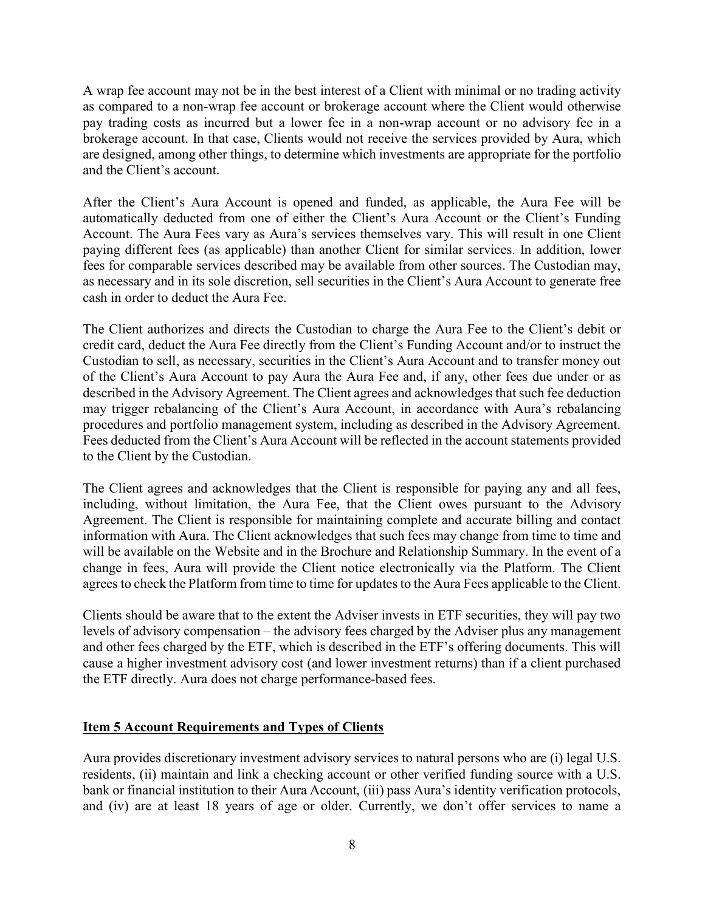A wrap fee account may not be in the best interest of a Client with minimal or no trading activity as compared to a non-wrap fee account or brokerage account where the Client would otherwise pay trading costs as incurred but a lower fee in a non-wrap account or no advisory fee in a brokerage account. In that case, Clients would not receive the services provided by Aura, which are designed, among other things, to determine which investments are appropriate for the portfolio and the Client's account.

After the Client's Aura Account is opened and funded, as applicable, the Aura Fee will be automatically deducted from one of either the Client's Aura Account or the Client's Funding Account. The Aura Fees vary as Aura's services themselves vary. This will result in one Client paying different fees (as applicable) than another Client for similar services. In addition, lower fees for comparable services described may be available from other sources. The Custodian may, as necessary and in its sole discretion, sell securities in the Client's Aura Account to generate free cash in order to deduct the Aura Fee.

The Client authorizes and directs the Custodian to charge the Aura Fee to the Client's debit or credit card, deduct the Aura Fee directly from the Client's Funding Account and/or to instruct the Custodian to sell, as necessary, securities in the Client's Aura Account and to transfer money out of the Client's Aura Account to pay Aura the Aura Fee and, if any, other fees due under or as described in the Advisory Agreement. The Client agrees and acknowledges that such fee deduction may trigger rebalancing of the Client's Aura Account, in accordance with Aura's rebalancing procedures and portfolio management system, including as described in the Advisory Agreement. Fees deducted from the Client's Aura Account will be reflected in the account statements provided to the Client by the Custodian.

The Client agrees and acknowledges that the Client is responsible for paying any and all fees, including, without limitation, the Aura Fee, that the Client owes pursuant to the Advisory Agreement. The Client is responsible for maintaining complete and accurate billing and contact information with Aura. The Client acknowledges that such fees may change from time to time and will be available on the Website and in the Brochure and Relationship Summary. In the event of a change in fees, Aura will provide the Client notice electronically via the Platform. The Client agrees to check the Platform from time to time for updates to the Aura Fees applicable to the Client.

Clients should be aware that to the extent the Adviser invests in ETF securities, they will pay two levels of advisory compensation – the advisory fees charged by the Adviser plus any management and other fees charged by the ETF, which is described in the ETF's offering documents. This will cause a higher investment advisory cost (and lower investment returns) than if a client purchased the ETF directly. Aura does not charge performance-based fees.

#### Item 5 Account Requirements and Types of Clients

Aura provides discretionary investment advisory services to natural persons who are (i) legal U.S. residents, (ii) maintain and link a checking account or other verified funding source with a U.S. bank or financial institution to their Aura Account, (iii) pass Aura's identity verification protocols, and (iv) are at least 18 years of age or older. Currently, we don't offer services to name a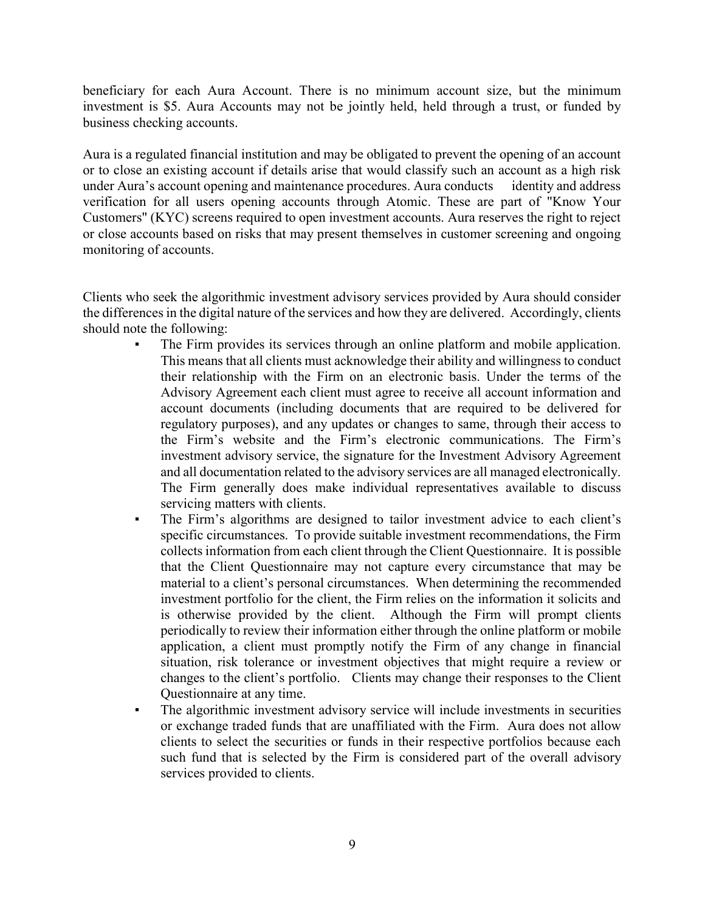beneficiary for each Aura Account. There is no minimum account size, but the minimum investment is \$5. Aura Accounts may not be jointly held, held through a trust, or funded by business checking accounts.

Aura is a regulated financial institution and may be obligated to prevent the opening of an account or to close an existing account if details arise that would classify such an account as a high risk under Aura's account opening and maintenance procedures. Aura conducts identity and address verification for all users opening accounts through Atomic. These are part of "Know Your Customers" (KYC) screens required to open investment accounts. Aura reserves the right to reject or close accounts based on risks that may present themselves in customer screening and ongoing monitoring of accounts.

Clients who seek the algorithmic investment advisory services provided by Aura should consider the differences in the digital nature of the services and how they are delivered. Accordingly, clients should note the following:

- The Firm provides its services through an online platform and mobile application. This means that all clients must acknowledge their ability and willingness to conduct their relationship with the Firm on an electronic basis. Under the terms of the Advisory Agreement each client must agree to receive all account information and account documents (including documents that are required to be delivered for regulatory purposes), and any updates or changes to same, through their access to the Firm's website and the Firm's electronic communications. The Firm's investment advisory service, the signature for the Investment Advisory Agreement and all documentation related to the advisory services are all managed electronically. The Firm generally does make individual representatives available to discuss servicing matters with clients.
- The Firm's algorithms are designed to tailor investment advice to each client's specific circumstances. To provide suitable investment recommendations, the Firm collects information from each client through the Client Questionnaire. It is possible that the Client Questionnaire may not capture every circumstance that may be material to a client's personal circumstances. When determining the recommended investment portfolio for the client, the Firm relies on the information it solicits and is otherwise provided by the client. Although the Firm will prompt clients periodically to review their information either through the online platform or mobile application, a client must promptly notify the Firm of any change in financial situation, risk tolerance or investment objectives that might require a review or changes to the client's portfolio. Clients may change their responses to the Client Questionnaire at any time.
- The algorithmic investment advisory service will include investments in securities or exchange traded funds that are unaffiliated with the Firm. Aura does not allow clients to select the securities or funds in their respective portfolios because each such fund that is selected by the Firm is considered part of the overall advisory services provided to clients.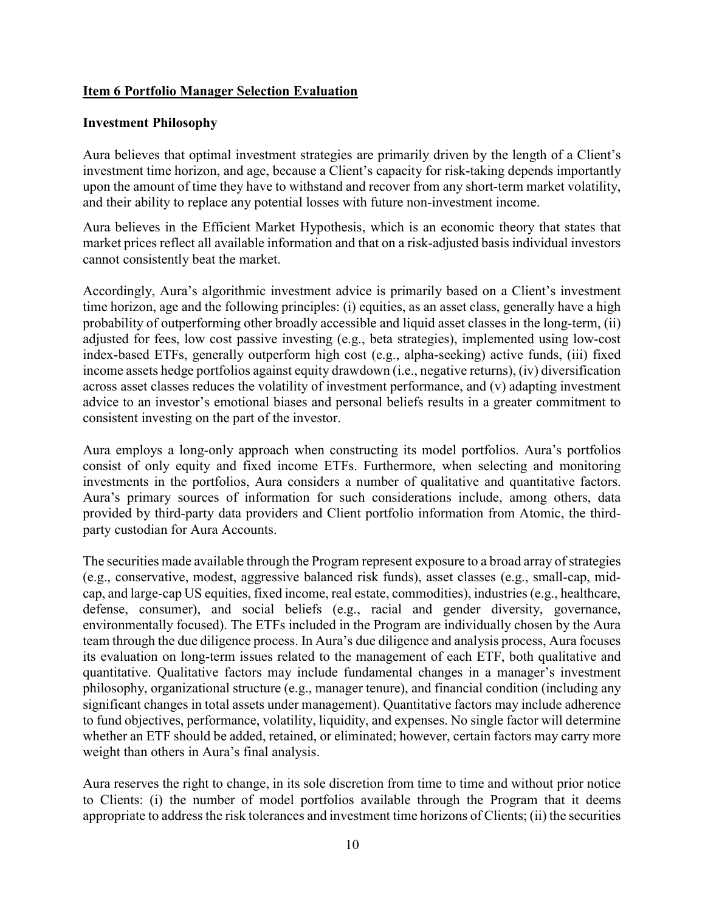#### Item 6 Portfolio Manager Selection Evaluation

#### Investment Philosophy

Aura believes that optimal investment strategies are primarily driven by the length of a Client's investment time horizon, and age, because a Client's capacity for risk-taking depends importantly upon the amount of time they have to withstand and recover from any short-term market volatility, and their ability to replace any potential losses with future non-investment income.

Aura believes in the Efficient Market Hypothesis, which is an economic theory that states that market prices reflect all available information and that on a risk-adjusted basis individual investors cannot consistently beat the market.

Accordingly, Aura's algorithmic investment advice is primarily based on a Client's investment time horizon, age and the following principles: (i) equities, as an asset class, generally have a high probability of outperforming other broadly accessible and liquid asset classes in the long-term, (ii) adjusted for fees, low cost passive investing (e.g., beta strategies), implemented using low-cost index-based ETFs, generally outperform high cost (e.g., alpha-seeking) active funds, (iii) fixed income assets hedge portfolios against equity drawdown (i.e., negative returns), (iv) diversification across asset classes reduces the volatility of investment performance, and (v) adapting investment advice to an investor's emotional biases and personal beliefs results in a greater commitment to consistent investing on the part of the investor.

Aura employs a long-only approach when constructing its model portfolios. Aura's portfolios consist of only equity and fixed income ETFs. Furthermore, when selecting and monitoring investments in the portfolios, Aura considers a number of qualitative and quantitative factors. Aura's primary sources of information for such considerations include, among others, data provided by third-party data providers and Client portfolio information from Atomic, the thirdparty custodian for Aura Accounts.

The securities made available through the Program represent exposure to a broad array of strategies (e.g., conservative, modest, aggressive balanced risk funds), asset classes (e.g., small-cap, midcap, and large-cap US equities, fixed income, real estate, commodities), industries (e.g., healthcare, defense, consumer), and social beliefs (e.g., racial and gender diversity, governance, environmentally focused). The ETFs included in the Program are individually chosen by the Aura team through the due diligence process. In Aura's due diligence and analysis process, Aura focuses its evaluation on long-term issues related to the management of each ETF, both qualitative and quantitative. Qualitative factors may include fundamental changes in a manager's investment philosophy, organizational structure (e.g., manager tenure), and financial condition (including any significant changes in total assets under management). Quantitative factors may include adherence to fund objectives, performance, volatility, liquidity, and expenses. No single factor will determine whether an ETF should be added, retained, or eliminated; however, certain factors may carry more weight than others in Aura's final analysis.

Aura reserves the right to change, in its sole discretion from time to time and without prior notice to Clients: (i) the number of model portfolios available through the Program that it deems appropriate to address the risk tolerances and investment time horizons of Clients; (ii) the securities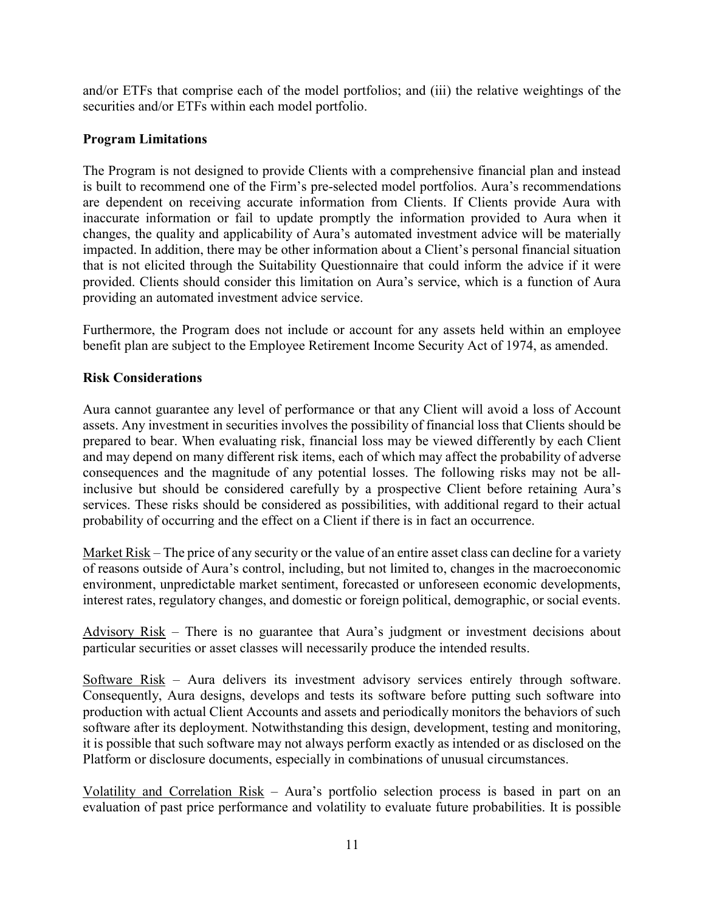and/or ETFs that comprise each of the model portfolios; and (iii) the relative weightings of the securities and/or ETFs within each model portfolio.

#### Program Limitations

The Program is not designed to provide Clients with a comprehensive financial plan and instead is built to recommend one of the Firm's pre-selected model portfolios. Aura's recommendations are dependent on receiving accurate information from Clients. If Clients provide Aura with inaccurate information or fail to update promptly the information provided to Aura when it changes, the quality and applicability of Aura's automated investment advice will be materially impacted. In addition, there may be other information about a Client's personal financial situation that is not elicited through the Suitability Questionnaire that could inform the advice if it were provided. Clients should consider this limitation on Aura's service, which is a function of Aura providing an automated investment advice service.

Furthermore, the Program does not include or account for any assets held within an employee benefit plan are subject to the Employee Retirement Income Security Act of 1974, as amended.

#### Risk Considerations

Aura cannot guarantee any level of performance or that any Client will avoid a loss of Account assets. Any investment in securities involves the possibility of financial loss that Clients should be prepared to bear. When evaluating risk, financial loss may be viewed differently by each Client and may depend on many different risk items, each of which may affect the probability of adverse consequences and the magnitude of any potential losses. The following risks may not be allinclusive but should be considered carefully by a prospective Client before retaining Aura's services. These risks should be considered as possibilities, with additional regard to their actual probability of occurring and the effect on a Client if there is in fact an occurrence.

Market Risk – The price of any security or the value of an entire asset class can decline for a variety of reasons outside of Aura's control, including, but not limited to, changes in the macroeconomic environment, unpredictable market sentiment, forecasted or unforeseen economic developments, interest rates, regulatory changes, and domestic or foreign political, demographic, or social events.

Advisory Risk – There is no guarantee that Aura's judgment or investment decisions about particular securities or asset classes will necessarily produce the intended results.

Software Risk – Aura delivers its investment advisory services entirely through software. Consequently, Aura designs, develops and tests its software before putting such software into production with actual Client Accounts and assets and periodically monitors the behaviors of such software after its deployment. Notwithstanding this design, development, testing and monitoring, it is possible that such software may not always perform exactly as intended or as disclosed on the Platform or disclosure documents, especially in combinations of unusual circumstances.

Volatility and Correlation Risk – Aura's portfolio selection process is based in part on an evaluation of past price performance and volatility to evaluate future probabilities. It is possible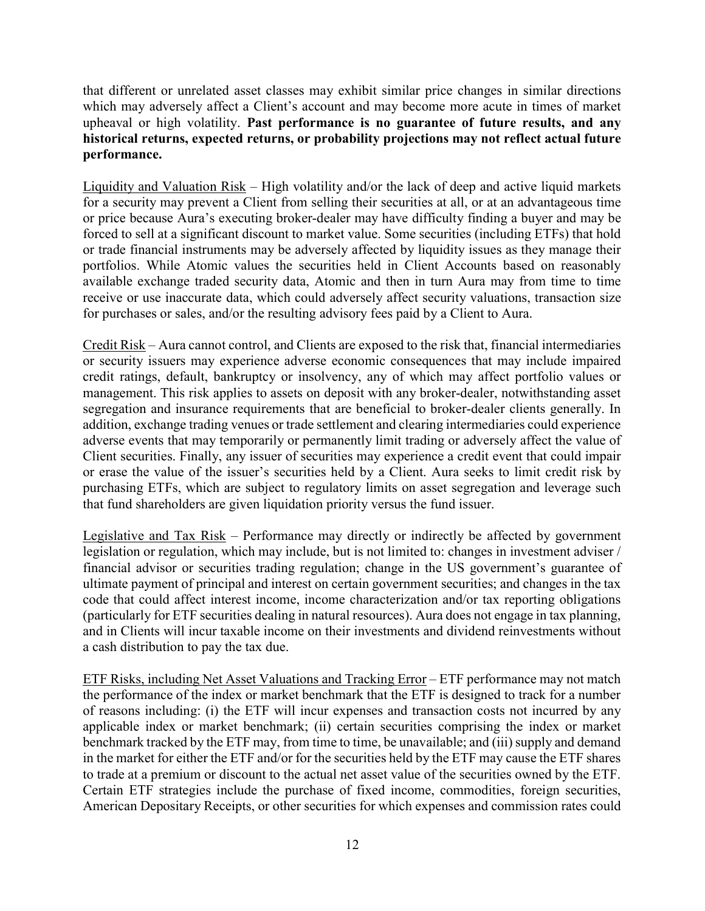that different or unrelated asset classes may exhibit similar price changes in similar directions which may adversely affect a Client's account and may become more acute in times of market upheaval or high volatility. Past performance is no guarantee of future results, and any historical returns, expected returns, or probability projections may not reflect actual future performance.

Liquidity and Valuation Risk – High volatility and/or the lack of deep and active liquid markets for a security may prevent a Client from selling their securities at all, or at an advantageous time or price because Aura's executing broker-dealer may have difficulty finding a buyer and may be forced to sell at a significant discount to market value. Some securities (including ETFs) that hold or trade financial instruments may be adversely affected by liquidity issues as they manage their portfolios. While Atomic values the securities held in Client Accounts based on reasonably available exchange traded security data, Atomic and then in turn Aura may from time to time receive or use inaccurate data, which could adversely affect security valuations, transaction size for purchases or sales, and/or the resulting advisory fees paid by a Client to Aura.

Credit Risk – Aura cannot control, and Clients are exposed to the risk that, financial intermediaries or security issuers may experience adverse economic consequences that may include impaired credit ratings, default, bankruptcy or insolvency, any of which may affect portfolio values or management. This risk applies to assets on deposit with any broker-dealer, notwithstanding asset segregation and insurance requirements that are beneficial to broker-dealer clients generally. In addition, exchange trading venues or trade settlement and clearing intermediaries could experience adverse events that may temporarily or permanently limit trading or adversely affect the value of Client securities. Finally, any issuer of securities may experience a credit event that could impair or erase the value of the issuer's securities held by a Client. Aura seeks to limit credit risk by purchasing ETFs, which are subject to regulatory limits on asset segregation and leverage such that fund shareholders are given liquidation priority versus the fund issuer.

Legislative and Tax Risk – Performance may directly or indirectly be affected by government legislation or regulation, which may include, but is not limited to: changes in investment adviser / financial advisor or securities trading regulation; change in the US government's guarantee of ultimate payment of principal and interest on certain government securities; and changes in the tax code that could affect interest income, income characterization and/or tax reporting obligations (particularly for ETF securities dealing in natural resources). Aura does not engage in tax planning, and in Clients will incur taxable income on their investments and dividend reinvestments without a cash distribution to pay the tax due.

ETF Risks, including Net Asset Valuations and Tracking Error – ETF performance may not match the performance of the index or market benchmark that the ETF is designed to track for a number of reasons including: (i) the ETF will incur expenses and transaction costs not incurred by any applicable index or market benchmark; (ii) certain securities comprising the index or market benchmark tracked by the ETF may, from time to time, be unavailable; and (iii) supply and demand in the market for either the ETF and/or for the securities held by the ETF may cause the ETF shares to trade at a premium or discount to the actual net asset value of the securities owned by the ETF. Certain ETF strategies include the purchase of fixed income, commodities, foreign securities, American Depositary Receipts, or other securities for which expenses and commission rates could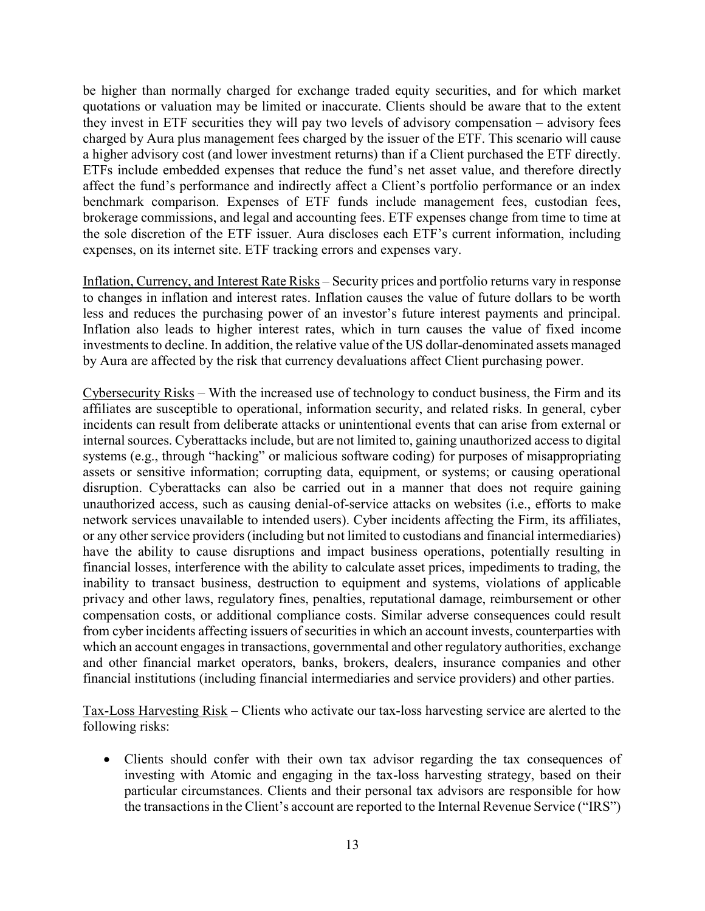be higher than normally charged for exchange traded equity securities, and for which market quotations or valuation may be limited or inaccurate. Clients should be aware that to the extent they invest in ETF securities they will pay two levels of advisory compensation – advisory fees charged by Aura plus management fees charged by the issuer of the ETF. This scenario will cause a higher advisory cost (and lower investment returns) than if a Client purchased the ETF directly. ETFs include embedded expenses that reduce the fund's net asset value, and therefore directly affect the fund's performance and indirectly affect a Client's portfolio performance or an index benchmark comparison. Expenses of ETF funds include management fees, custodian fees, brokerage commissions, and legal and accounting fees. ETF expenses change from time to time at the sole discretion of the ETF issuer. Aura discloses each ETF's current information, including expenses, on its internet site. ETF tracking errors and expenses vary.

Inflation, Currency, and Interest Rate Risks – Security prices and portfolio returns vary in response to changes in inflation and interest rates. Inflation causes the value of future dollars to be worth less and reduces the purchasing power of an investor's future interest payments and principal. Inflation also leads to higher interest rates, which in turn causes the value of fixed income investments to decline. In addition, the relative value of the US dollar-denominated assets managed by Aura are affected by the risk that currency devaluations affect Client purchasing power.

Cybersecurity Risks – With the increased use of technology to conduct business, the Firm and its affiliates are susceptible to operational, information security, and related risks. In general, cyber incidents can result from deliberate attacks or unintentional events that can arise from external or internal sources. Cyberattacks include, but are not limited to, gaining unauthorized access to digital systems (e.g., through "hacking" or malicious software coding) for purposes of misappropriating assets or sensitive information; corrupting data, equipment, or systems; or causing operational disruption. Cyberattacks can also be carried out in a manner that does not require gaining unauthorized access, such as causing denial-of-service attacks on websites (i.e., efforts to make network services unavailable to intended users). Cyber incidents affecting the Firm, its affiliates, or any other service providers (including but not limited to custodians and financial intermediaries) have the ability to cause disruptions and impact business operations, potentially resulting in financial losses, interference with the ability to calculate asset prices, impediments to trading, the inability to transact business, destruction to equipment and systems, violations of applicable privacy and other laws, regulatory fines, penalties, reputational damage, reimbursement or other compensation costs, or additional compliance costs. Similar adverse consequences could result from cyber incidents affecting issuers of securities in which an account invests, counterparties with which an account engages in transactions, governmental and other regulatory authorities, exchange and other financial market operators, banks, brokers, dealers, insurance companies and other financial institutions (including financial intermediaries and service providers) and other parties.

Tax-Loss Harvesting Risk – Clients who activate our tax-loss harvesting service are alerted to the following risks:

 Clients should confer with their own tax advisor regarding the tax consequences of investing with Atomic and engaging in the tax-loss harvesting strategy, based on their particular circumstances. Clients and their personal tax advisors are responsible for how the transactions in the Client's account are reported to the Internal Revenue Service ("IRS")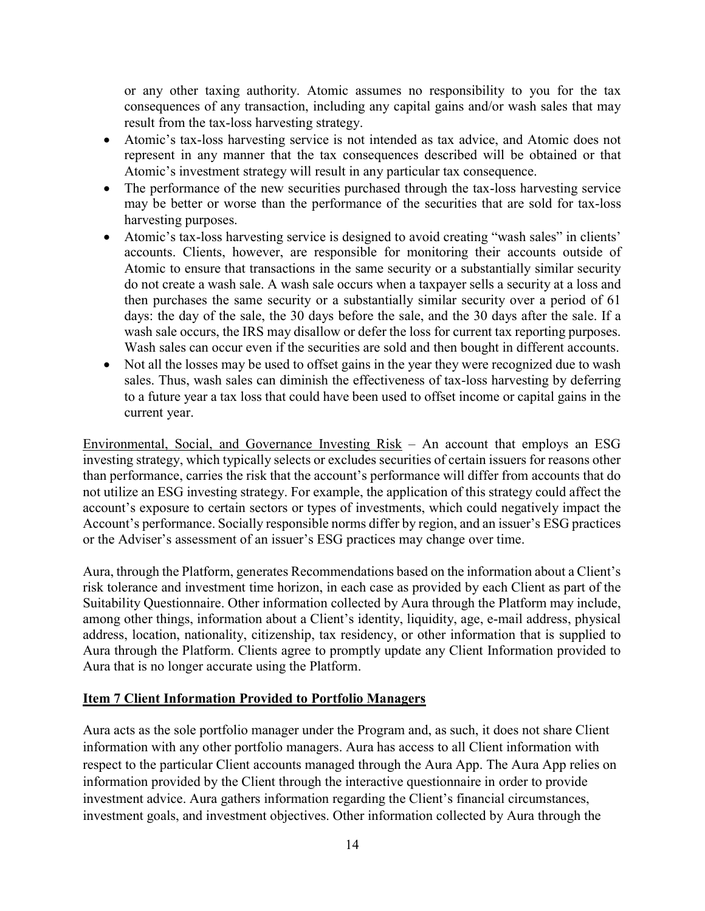or any other taxing authority. Atomic assumes no responsibility to you for the tax consequences of any transaction, including any capital gains and/or wash sales that may result from the tax-loss harvesting strategy.

- Atomic's tax-loss harvesting service is not intended as tax advice, and Atomic does not represent in any manner that the tax consequences described will be obtained or that Atomic's investment strategy will result in any particular tax consequence.
- The performance of the new securities purchased through the tax-loss harvesting service may be better or worse than the performance of the securities that are sold for tax-loss harvesting purposes.
- Atomic's tax-loss harvesting service is designed to avoid creating "wash sales" in clients' accounts. Clients, however, are responsible for monitoring their accounts outside of Atomic to ensure that transactions in the same security or a substantially similar security do not create a wash sale. A wash sale occurs when a taxpayer sells a security at a loss and then purchases the same security or a substantially similar security over a period of 61 days: the day of the sale, the 30 days before the sale, and the 30 days after the sale. If a wash sale occurs, the IRS may disallow or defer the loss for current tax reporting purposes. Wash sales can occur even if the securities are sold and then bought in different accounts.
- Not all the losses may be used to offset gains in the year they were recognized due to wash sales. Thus, wash sales can diminish the effectiveness of tax-loss harvesting by deferring to a future year a tax loss that could have been used to offset income or capital gains in the current year.

Environmental, Social, and Governance Investing Risk – An account that employs an ESG investing strategy, which typically selects or excludes securities of certain issuers for reasons other than performance, carries the risk that the account's performance will differ from accounts that do not utilize an ESG investing strategy. For example, the application of this strategy could affect the account's exposure to certain sectors or types of investments, which could negatively impact the Account's performance. Socially responsible norms differ by region, and an issuer's ESG practices or the Adviser's assessment of an issuer's ESG practices may change over time.

Aura, through the Platform, generates Recommendations based on the information about a Client's risk tolerance and investment time horizon, in each case as provided by each Client as part of the Suitability Questionnaire. Other information collected by Aura through the Platform may include, among other things, information about a Client's identity, liquidity, age, e-mail address, physical address, location, nationality, citizenship, tax residency, or other information that is supplied to Aura through the Platform. Clients agree to promptly update any Client Information provided to Aura that is no longer accurate using the Platform.

#### Item 7 Client Information Provided to Portfolio Managers

Aura acts as the sole portfolio manager under the Program and, as such, it does not share Client information with any other portfolio managers. Aura has access to all Client information with respect to the particular Client accounts managed through the Aura App. The Aura App relies on information provided by the Client through the interactive questionnaire in order to provide investment advice. Aura gathers information regarding the Client's financial circumstances, investment goals, and investment objectives. Other information collected by Aura through the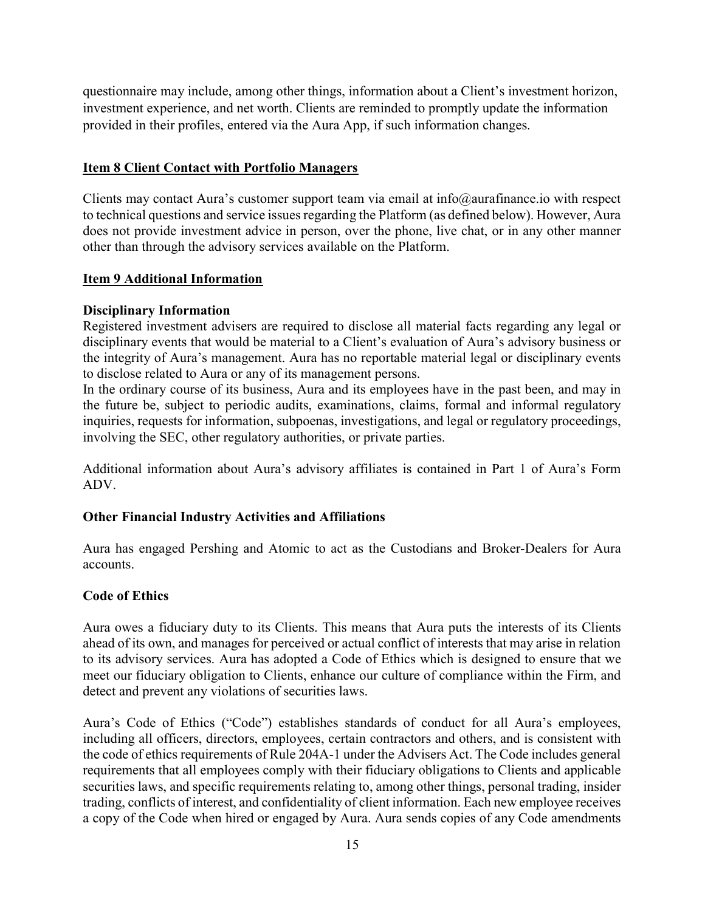questionnaire may include, among other things, information about a Client's investment horizon, investment experience, and net worth. Clients are reminded to promptly update the information provided in their profiles, entered via the Aura App, if such information changes.

#### Item 8 Client Contact with Portfolio Managers

Clients may contact Aura's customer support team via email at info@aurafinance.io with respect to technical questions and service issues regarding the Platform (as defined below). However, Aura does not provide investment advice in person, over the phone, live chat, or in any other manner other than through the advisory services available on the Platform.

#### Item 9 Additional Information

#### Disciplinary Information

Registered investment advisers are required to disclose all material facts regarding any legal or disciplinary events that would be material to a Client's evaluation of Aura's advisory business or the integrity of Aura's management. Aura has no reportable material legal or disciplinary events to disclose related to Aura or any of its management persons.

In the ordinary course of its business, Aura and its employees have in the past been, and may in the future be, subject to periodic audits, examinations, claims, formal and informal regulatory inquiries, requests for information, subpoenas, investigations, and legal or regulatory proceedings, involving the SEC, other regulatory authorities, or private parties.

Additional information about Aura's advisory affiliates is contained in Part 1 of Aura's Form ADV.

#### Other Financial Industry Activities and Affiliations

Aura has engaged Pershing and Atomic to act as the Custodians and Broker-Dealers for Aura accounts.

#### Code of Ethics

Aura owes a fiduciary duty to its Clients. This means that Aura puts the interests of its Clients ahead of its own, and manages for perceived or actual conflict of interests that may arise in relation to its advisory services. Aura has adopted a Code of Ethics which is designed to ensure that we meet our fiduciary obligation to Clients, enhance our culture of compliance within the Firm, and detect and prevent any violations of securities laws.

Aura's Code of Ethics ("Code") establishes standards of conduct for all Aura's employees, including all officers, directors, employees, certain contractors and others, and is consistent with the code of ethics requirements of Rule 204A-1 under the Advisers Act. The Code includes general requirements that all employees comply with their fiduciary obligations to Clients and applicable securities laws, and specific requirements relating to, among other things, personal trading, insider trading, conflicts of interest, and confidentiality of client information. Each new employee receives a copy of the Code when hired or engaged by Aura. Aura sends copies of any Code amendments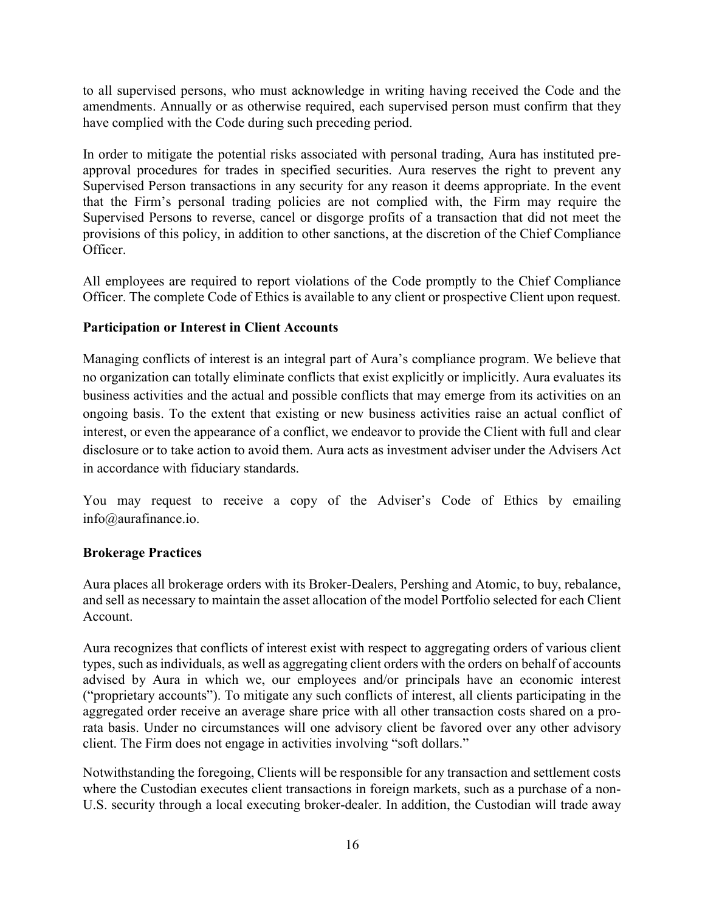to all supervised persons, who must acknowledge in writing having received the Code and the amendments. Annually or as otherwise required, each supervised person must confirm that they have complied with the Code during such preceding period.

In order to mitigate the potential risks associated with personal trading, Aura has instituted preapproval procedures for trades in specified securities. Aura reserves the right to prevent any Supervised Person transactions in any security for any reason it deems appropriate. In the event that the Firm's personal trading policies are not complied with, the Firm may require the Supervised Persons to reverse, cancel or disgorge profits of a transaction that did not meet the provisions of this policy, in addition to other sanctions, at the discretion of the Chief Compliance Officer.

All employees are required to report violations of the Code promptly to the Chief Compliance Officer. The complete Code of Ethics is available to any client or prospective Client upon request.

#### Participation or Interest in Client Accounts

Managing conflicts of interest is an integral part of Aura's compliance program. We believe that no organization can totally eliminate conflicts that exist explicitly or implicitly. Aura evaluates its business activities and the actual and possible conflicts that may emerge from its activities on an ongoing basis. To the extent that existing or new business activities raise an actual conflict of interest, or even the appearance of a conflict, we endeavor to provide the Client with full and clear disclosure or to take action to avoid them. Aura acts as investment adviser under the Advisers Act in accordance with fiduciary standards.

You may request to receive a copy of the Adviser's Code of Ethics by emailing info@aurafinance.io.

#### Brokerage Practices

Aura places all brokerage orders with its Broker-Dealers, Pershing and Atomic, to buy, rebalance, and sell as necessary to maintain the asset allocation of the model Portfolio selected for each Client Account.

Aura recognizes that conflicts of interest exist with respect to aggregating orders of various client types, such as individuals, as well as aggregating client orders with the orders on behalf of accounts advised by Aura in which we, our employees and/or principals have an economic interest ("proprietary accounts"). To mitigate any such conflicts of interest, all clients participating in the aggregated order receive an average share price with all other transaction costs shared on a prorata basis. Under no circumstances will one advisory client be favored over any other advisory client. The Firm does not engage in activities involving "soft dollars."

Notwithstanding the foregoing, Clients will be responsible for any transaction and settlement costs where the Custodian executes client transactions in foreign markets, such as a purchase of a non-U.S. security through a local executing broker-dealer. In addition, the Custodian will trade away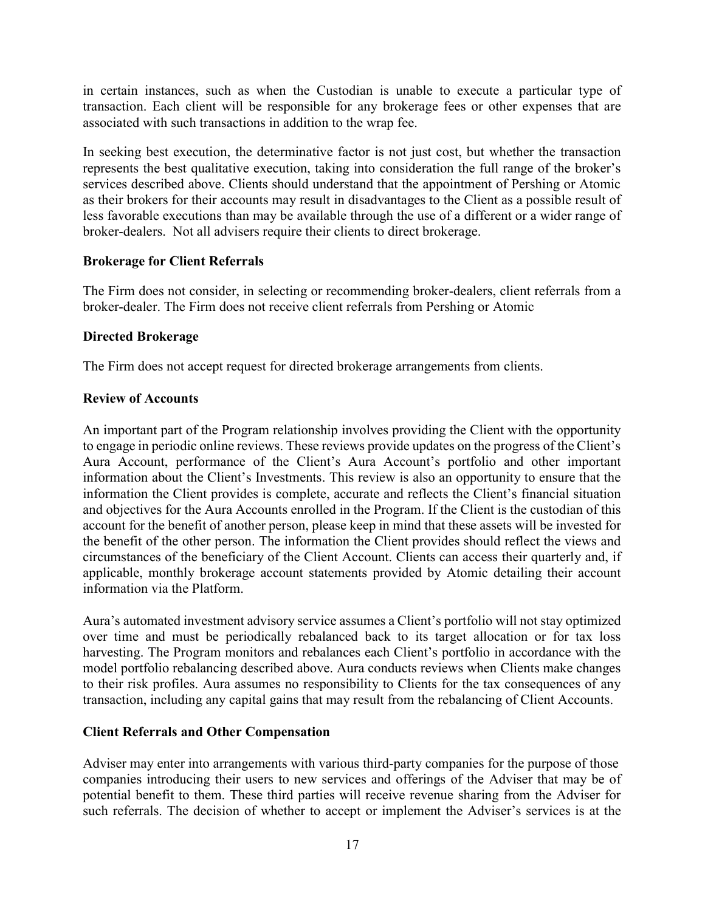in certain instances, such as when the Custodian is unable to execute a particular type of transaction. Each client will be responsible for any brokerage fees or other expenses that are associated with such transactions in addition to the wrap fee.

In seeking best execution, the determinative factor is not just cost, but whether the transaction represents the best qualitative execution, taking into consideration the full range of the broker's services described above. Clients should understand that the appointment of Pershing or Atomic as their brokers for their accounts may result in disadvantages to the Client as a possible result of less favorable executions than may be available through the use of a different or a wider range of broker-dealers. Not all advisers require their clients to direct brokerage.

#### Brokerage for Client Referrals

The Firm does not consider, in selecting or recommending broker-dealers, client referrals from a broker-dealer. The Firm does not receive client referrals from Pershing or Atomic

#### Directed Brokerage

The Firm does not accept request for directed brokerage arrangements from clients.

#### Review of Accounts

An important part of the Program relationship involves providing the Client with the opportunity to engage in periodic online reviews. These reviews provide updates on the progress of the Client's Aura Account, performance of the Client's Aura Account's portfolio and other important information about the Client's Investments. This review is also an opportunity to ensure that the information the Client provides is complete, accurate and reflects the Client's financial situation and objectives for the Aura Accounts enrolled in the Program. If the Client is the custodian of this account for the benefit of another person, please keep in mind that these assets will be invested for the benefit of the other person. The information the Client provides should reflect the views and circumstances of the beneficiary of the Client Account. Clients can access their quarterly and, if applicable, monthly brokerage account statements provided by Atomic detailing their account information via the Platform.

Aura's automated investment advisory service assumes a Client's portfolio will not stay optimized over time and must be periodically rebalanced back to its target allocation or for tax loss harvesting. The Program monitors and rebalances each Client's portfolio in accordance with the model portfolio rebalancing described above. Aura conducts reviews when Clients make changes to their risk profiles. Aura assumes no responsibility to Clients for the tax consequences of any transaction, including any capital gains that may result from the rebalancing of Client Accounts.

#### Client Referrals and Other Compensation

Adviser may enter into arrangements with various third-party companies for the purpose of those companies introducing their users to new services and offerings of the Adviser that may be of potential benefit to them. These third parties will receive revenue sharing from the Adviser for such referrals. The decision of whether to accept or implement the Adviser's services is at the